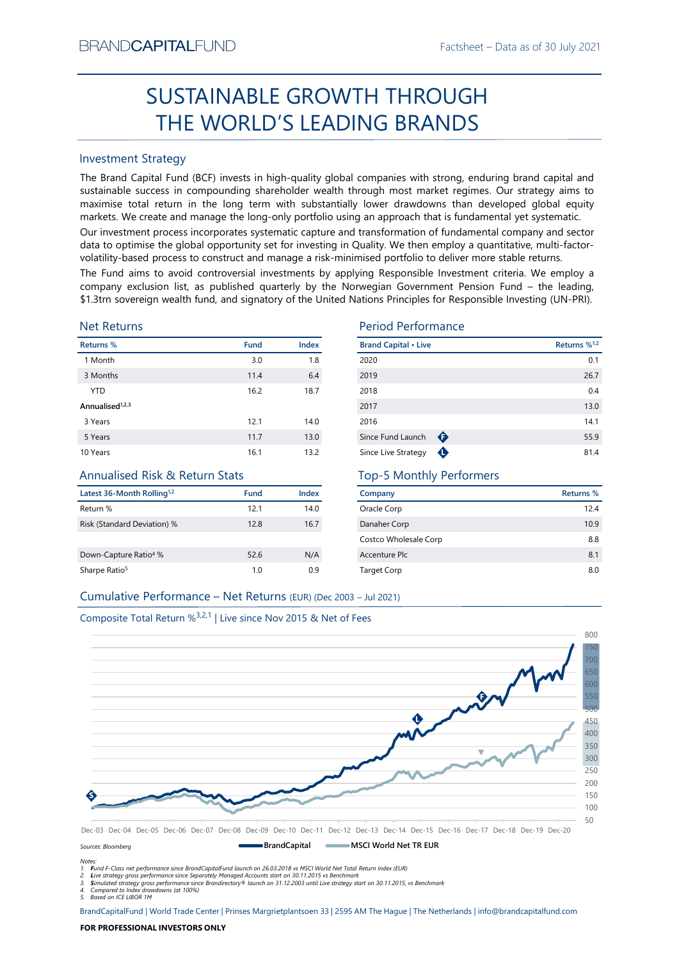# SUSTAINABLE GROWTH THROUGH THE WORLD'S LEADING BRANDS

### Investment Strategy

EXECUTE THE WORLD'S LEADING BRANDS<br>
SUSTAINABLE GROWTH THROUGH<br>
THE WORLD'S LEADING BRANDS<br>
Investment Strategy<br>
The Brand Capital Fund Index (Fig. 1991) and the strategy strategy and the strategy strategy and sustainable SUSTAINABLE GROWTH THROUGH<br>
THE WORLD'S LEADING BRANDS<br>
mesternet Strategy<br>
me Brand Capital Fund (BCF) invests in high-quality global companies with strong, enduring brand capital and<br>
ustainable success in compounding s BRAND**CAPITAL**FUND<br>
SUSTAINABLE GROWTH THROUGH<br>
THE WORLD'S LEADING BRANDS<br>
Investment Strategy<br>
The Brand Capital Fund (BCF) invests in high-quality global companies with strong, enduring brand capital and<br>
sustainable su BRAND**CAPITAL**FUND<br>
Factsheet – Data as of 30 July 2021<br> **SUSTAINABLE GROWTH THROUGH**<br> **THE WORLD'S LEADING BRANDS**<br>
Investment Strategy<br>
The Brand Capital Fund (BCF) invests in high-quality global companies with strong, e BRAND**CAPITAL**FUND<br>
SUSTAINABLE GROWTH THROUGH<br>
THE WORLD'S LEADING BRANDS<br>
Investment Strategy<br>
Inte Brand Capital Fund (BCF) invests in high-quality global companies with strong, enduring brand capital and<br>
sustainable s BRAND**CAPITAL**FUND<br>
SUSTAINABLE GROWTH THROUGH<br>
THE WORLD'S LEADING BRANDS<br>
Investment Strategy<br>
Investment Strategy<br>
Investment Strategy<br>
Investment Strategy<br>
Investment Strategy<br>
The Brand Capital Fund (BCF) invests in h BRAND**CAPITAL**FUND<br>
SUSTAINABLE GROWTH THROUGH<br>
THE WORLD'S LEADING BRANDS<br>
Investment Strategy<br>
Investment Strategy<br>
Investment Strategy<br>
Investment Strategy<br>
Investment Strategy<br>
Investment Strategy<br>
and Captal invest of BRAND**CAPITAL**FUND<br>
Factsheet – Data as of 30 July 2021<br>
SUSTAINABLE GROWTH THROUGH<br>
THE WORLD'S LEADING BRANDS<br>
Investment Strategy<br>
The Brand Capital Fund (BCF) invests in high-quality global companies with strong, endur BRANDCAPITALFUND<br>
SUSTAINABLE GROWTH THROUGH<br>
THE WORLD'S LEADING BRANDS<br>
Investment Strategy<br>
The Brand Capital Fund (BCF) invests in high-quality global companies with strong, enduring brand capital and<br>
sustainable succ ERANDCAPITALFUND<br>
SUSTAINABLE GROWTH THROUGH<br>
THE WORLD'S LEADING BRANDS<br>
Investment Strategy<br>
Investment Strategy<br>
Investment Strategy<br>
Investment Strategy<br>
Investment Strategy<br>
Alta in the long term with substantial inve **EXAMDCAPITALFUND**<br>
SUSTAINABLE GROWTH THROUGH<br>
THE WORLD'S LEADING BRANDS<br>
Investment Strategy<br>
The Brand Capital Fund (BCF) invests in high-quality global companies with strong, enduring brand capital and<br>
sustsismable **ERANDCAPITALFUND**<br> **SUSTAINABLE GROWTH THROUGH**<br> **THE WORLD'S LEADING BRANDS**<br>
Investment Strategy<br>
Investment Strategy<br>
Investment Strategy<br>
Investment Strategy<br>
Sustainable success in compounding shareholder wealth fun

### Net Returns

| <b>Investment Strategy</b>                                                    |      |       |                                                                                                                                                                                                                                                                                                                                                                                                                                                                                                                                                                                                                                                                                                                                                                                                       |                          |
|-------------------------------------------------------------------------------|------|-------|-------------------------------------------------------------------------------------------------------------------------------------------------------------------------------------------------------------------------------------------------------------------------------------------------------------------------------------------------------------------------------------------------------------------------------------------------------------------------------------------------------------------------------------------------------------------------------------------------------------------------------------------------------------------------------------------------------------------------------------------------------------------------------------------------------|--------------------------|
|                                                                               |      |       | The Brand Capital Fund (BCF) invests in high-quality global companies with strong, enduring brand capital and<br>sustainable success in compounding shareholder wealth through most market regimes. Our strategy aims to<br>maximise total return in the long term with substantially lower drawdowns than developed global equity<br>markets. We create and manage the long-only portfolio using an approach that is fundamental yet systematic.<br>Our investment process incorporates systematic capture and transformation of fundamental company and sector<br>data to optimise the global opportunity set for investing in Quality. We then employ a quantitative, multi-factor-<br>volatility-based process to construct and manage a risk-minimised portfolio to deliver more stable returns. |                          |
| <b>Net Returns</b>                                                            |      |       | The Fund aims to avoid controversial investments by applying Responsible Investment criteria. We employ a<br>company exclusion list, as published quarterly by the Norwegian Government Pension Fund - the leading,<br>\$1.3trn sovereign wealth fund, and signatory of the United Nations Principles for Responsible Investing (UN-PRI).<br><b>Period Performance</b>                                                                                                                                                                                                                                                                                                                                                                                                                                |                          |
| Returns %                                                                     | Fund | Index | <b>Brand Capital • Live</b>                                                                                                                                                                                                                                                                                                                                                                                                                                                                                                                                                                                                                                                                                                                                                                           | Returns % <sup>1,2</sup> |
| 1 Month                                                                       | 3.0  | 1.8   | 2020                                                                                                                                                                                                                                                                                                                                                                                                                                                                                                                                                                                                                                                                                                                                                                                                  | 0.1                      |
| 3 Months                                                                      | 11.4 | 6.4   | 2019                                                                                                                                                                                                                                                                                                                                                                                                                                                                                                                                                                                                                                                                                                                                                                                                  | 26.7                     |
| <b>YTD</b>                                                                    | 16.2 | 18.7  | 2018                                                                                                                                                                                                                                                                                                                                                                                                                                                                                                                                                                                                                                                                                                                                                                                                  | 0.4                      |
| Annualised <sup>1,2,3</sup>                                                   |      |       | 2017                                                                                                                                                                                                                                                                                                                                                                                                                                                                                                                                                                                                                                                                                                                                                                                                  | 13.0                     |
| 3 Years                                                                       | 12.1 | 14.0  | 2016                                                                                                                                                                                                                                                                                                                                                                                                                                                                                                                                                                                                                                                                                                                                                                                                  | 14.1                     |
| 5 Years                                                                       | 11.7 | 13.0  | Since Fund Launch<br>$\bullet$                                                                                                                                                                                                                                                                                                                                                                                                                                                                                                                                                                                                                                                                                                                                                                        | 55.9                     |
| 10 Years                                                                      | 16.1 | 13.2  | Since Live Strategy<br>$\bullet$                                                                                                                                                                                                                                                                                                                                                                                                                                                                                                                                                                                                                                                                                                                                                                      | 81.4                     |
| <b>Annualised Risk &amp; Return Stats</b>                                     |      |       | <b>Top-5 Monthly Performers</b>                                                                                                                                                                                                                                                                                                                                                                                                                                                                                                                                                                                                                                                                                                                                                                       |                          |
| Latest 36-Month Rolling <sup>1,2</sup>                                        | Fund | Index | Company                                                                                                                                                                                                                                                                                                                                                                                                                                                                                                                                                                                                                                                                                                                                                                                               | <b>Returns %</b>         |
| Return %                                                                      | 12.1 | 14.0  | Oracle Corp                                                                                                                                                                                                                                                                                                                                                                                                                                                                                                                                                                                                                                                                                                                                                                                           | 12.4                     |
| Risk (Standard Deviation) %                                                   | 12.8 | 16.7  | Danaher Corp                                                                                                                                                                                                                                                                                                                                                                                                                                                                                                                                                                                                                                                                                                                                                                                          | 10.9                     |
|                                                                               |      |       | Costco Wholesale Corp                                                                                                                                                                                                                                                                                                                                                                                                                                                                                                                                                                                                                                                                                                                                                                                 | 8.8                      |
| Down-Capture Ratio <sup>4</sup> %                                             | 52.6 | N/A   | Accenture Plc                                                                                                                                                                                                                                                                                                                                                                                                                                                                                                                                                                                                                                                                                                                                                                                         | 8.1                      |
| Sharpe Ratio <sup>5</sup>                                                     | 1.0  | 0.9   | <b>Target Corp</b>                                                                                                                                                                                                                                                                                                                                                                                                                                                                                                                                                                                                                                                                                                                                                                                    | 8.0                      |
| Cumulative Performance - Net Returns (EUR) (Dec 2003 - Jul 2021)              |      |       |                                                                                                                                                                                                                                                                                                                                                                                                                                                                                                                                                                                                                                                                                                                                                                                                       |                          |
| Composite Total Return % <sup>3,2,1</sup>   Live since Nov 2015 & Net of Fees |      |       |                                                                                                                                                                                                                                                                                                                                                                                                                                                                                                                                                                                                                                                                                                                                                                                                       |                          |
|                                                                               |      |       |                                                                                                                                                                                                                                                                                                                                                                                                                                                                                                                                                                                                                                                                                                                                                                                                       | 800                      |
|                                                                               |      |       |                                                                                                                                                                                                                                                                                                                                                                                                                                                                                                                                                                                                                                                                                                                                                                                                       | 750<br>700               |

### Annualised Risk & Return Stats

| Latest 36-Month Rolling <sup>1,2</sup> | Fund | Index |
|----------------------------------------|------|-------|
| Return %                               | 12.1 | 14.0  |
| Risk (Standard Deviation) %            | 12.8 | 16.7  |
|                                        |      |       |
| Down-Capture Ratio <sup>4</sup> %      | 52.6 | N/A   |
| Sharpe Ratio <sup>5</sup>              | 1.0  | 0.9   |

### Period Performance

|                                                                                              |      |       | SUSTAINABLE GROWTH THROUGH                                                                                                                                                                                                                                                                                                                                                                                                                                                                                                                                                                                                                                                               |                          |
|----------------------------------------------------------------------------------------------|------|-------|------------------------------------------------------------------------------------------------------------------------------------------------------------------------------------------------------------------------------------------------------------------------------------------------------------------------------------------------------------------------------------------------------------------------------------------------------------------------------------------------------------------------------------------------------------------------------------------------------------------------------------------------------------------------------------------|--------------------------|
|                                                                                              |      |       | THE WORLD'S LEADING BRANDS                                                                                                                                                                                                                                                                                                                                                                                                                                                                                                                                                                                                                                                               |                          |
| nvestment Strategy                                                                           |      |       |                                                                                                                                                                                                                                                                                                                                                                                                                                                                                                                                                                                                                                                                                          |                          |
|                                                                                              |      |       | he Brand Capital Fund (BCF) invests in high-quality global companies with strong, enduring brand capital and<br>ustainable success in compounding shareholder wealth through most market regimes. Our strategy aims to<br>naximise total return in the long term with substantially lower drawdowns than developed global equity<br>narkets. We create and manage the long-only portfolio using an approach that is fundamental yet systematic.                                                                                                                                                                                                                                          |                          |
|                                                                                              |      |       | Our investment process incorporates systematic capture and transformation of fundamental company and sector<br>lata to optimise the global opportunity set for investing in Quality. We then employ a quantitative, multi-factor-<br>olatility-based process to construct and manage a risk-minimised portfolio to deliver more stable returns.<br>he Fund aims to avoid controversial investments by applying Responsible Investment criteria. We employ a<br>ompany exclusion list, as published quarterly by the Norwegian Government Pension Fund - the leading,<br>1.3trn sovereign wealth fund, and signatory of the United Nations Principles for Responsible Investing (UN-PRI). |                          |
|                                                                                              |      |       |                                                                                                                                                                                                                                                                                                                                                                                                                                                                                                                                                                                                                                                                                          |                          |
| <b>Jet Returns</b>                                                                           |      |       | <b>Period Performance</b>                                                                                                                                                                                                                                                                                                                                                                                                                                                                                                                                                                                                                                                                |                          |
| eturns %                                                                                     | Fund | Index | <b>Brand Capital • Live</b>                                                                                                                                                                                                                                                                                                                                                                                                                                                                                                                                                                                                                                                              | Returns % <sup>1,2</sup> |
| 1 Month                                                                                      | 3.0  | 1.8   | 2020                                                                                                                                                                                                                                                                                                                                                                                                                                                                                                                                                                                                                                                                                     | 0.1                      |
| 3 Months                                                                                     | 11.4 | 6.4   | 2019                                                                                                                                                                                                                                                                                                                                                                                                                                                                                                                                                                                                                                                                                     | 26.7                     |
| <b>YTD</b>                                                                                   | 16.2 | 18.7  | 2018                                                                                                                                                                                                                                                                                                                                                                                                                                                                                                                                                                                                                                                                                     | 0.4                      |
| nnualised <sup>1,2,3</sup>                                                                   |      |       | 2017                                                                                                                                                                                                                                                                                                                                                                                                                                                                                                                                                                                                                                                                                     | 13.0                     |
| 3 Years                                                                                      | 12.1 | 14.0  | 2016                                                                                                                                                                                                                                                                                                                                                                                                                                                                                                                                                                                                                                                                                     | 14.1                     |
| 5 Years                                                                                      | 11.7 | 13.0  | Since Fund Launch $\bigoplus$                                                                                                                                                                                                                                                                                                                                                                                                                                                                                                                                                                                                                                                            | 55.9                     |
| 0 Years                                                                                      | 16.1 | 13.2  | Since Live Strategy <b>O</b>                                                                                                                                                                                                                                                                                                                                                                                                                                                                                                                                                                                                                                                             | 81.4                     |
| Annualised Risk & Return Stats                                                               |      |       | <b>Top-5 Monthly Performers</b>                                                                                                                                                                                                                                                                                                                                                                                                                                                                                                                                                                                                                                                          |                          |
| atest 36-Month Rolling <sup>1,2</sup>                                                        | Fund | Index | Company                                                                                                                                                                                                                                                                                                                                                                                                                                                                                                                                                                                                                                                                                  | <b>Returns %</b>         |
| eturn %                                                                                      | 12.1 | 14.0  | Oracle Corp                                                                                                                                                                                                                                                                                                                                                                                                                                                                                                                                                                                                                                                                              | 12.4                     |
| isk (Standard Deviation) %                                                                   | 12.8 | 16.7  | Danaher Corp                                                                                                                                                                                                                                                                                                                                                                                                                                                                                                                                                                                                                                                                             | 10.9                     |
|                                                                                              |      |       | Costco Wholesale Corp                                                                                                                                                                                                                                                                                                                                                                                                                                                                                                                                                                                                                                                                    | 8.8                      |
| own-Capture Ratio <sup>4</sup> %                                                             | 52.6 | N/A   | Accenture Plc                                                                                                                                                                                                                                                                                                                                                                                                                                                                                                                                                                                                                                                                            | 8.1                      |
|                                                                                              | 1.0  | 0.9   | <b>Target Corp</b>                                                                                                                                                                                                                                                                                                                                                                                                                                                                                                                                                                                                                                                                       | $8.0\,$                  |
| harpe Ratio <sup>5</sup><br>Cumulative Performance - Net Returns (EUR) (Dec 2003 - Jul 2021) |      |       |                                                                                                                                                                                                                                                                                                                                                                                                                                                                                                                                                                                                                                                                                          |                          |

### Top-5 Monthly Performers

| Company               | Returns % |
|-----------------------|-----------|
| Oracle Corp           | 12.4      |
| Danaher Corp          | 10.9      |
| Costco Wholesale Corp | 8.8       |
| Accenture Plc         | 8.1       |
| <b>Target Corp</b>    | 8.0       |





Notes: 1. Fund F-Class net performance since BrandCapitalFund launch on 26.03.2018 vs MSCI World Net Total Return Index (EUR)

2. Live strategy gross performance since Separately Managed Accounts start on 30.11.2015 vs Benchmark<br>3. Simulated strategy gross performance since Brandirectory® launch on 31.12.2003 until Live strategy start on 30.11.201

5. Based on ICE LIBOR 1M